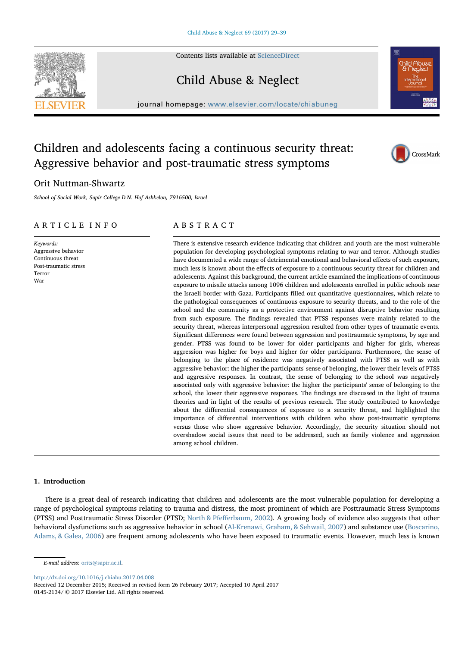Contents lists available at [ScienceDirect](http://www.sciencedirect.com/science/journal/01452134)



## Child Abuse & Neglect

journal homepage: [www.elsevier.com/locate/chiabuneg](http://www.elsevier.com/locate/chiabuneg)



# Aggressive behavior and post-traumatic stress symptoms

Children and adolescents facing a continuous security threat:

### Orit Nuttman-Shwartz

School of Social Work, Sapir College D.N. Hof Ashkelon, 7916500, Israel

#### ARTICLE INFO

Keywords: Aggressive behavior Continuous threat Post-traumatic stress Terror War

#### ABSTRACT

There is extensive research evidence indicating that children and youth are the most vulnerable population for developing psychological symptoms relating to war and terror. Although studies have documented a wide range of detrimental emotional and behavioral effects of such exposure, much less is known about the effects of exposure to a continuous security threat for children and adolescents. Against this background, the current article examined the implications of continuous exposure to missile attacks among 1096 children and adolescents enrolled in public schools near the Israeli border with Gaza. Participants filled out quantitative questionnaires, which relate to the pathological consequences of continuous exposure to security threats, and to the role of the school and the community as a protective environment against disruptive behavior resulting from such exposure. The findings revealed that PTSS responses were mainly related to the security threat, whereas interpersonal aggression resulted from other types of traumatic events. Significant differences were found between aggression and posttraumatic symptoms, by age and gender. PTSS was found to be lower for older participants and higher for girls, whereas aggression was higher for boys and higher for older participants. Furthermore, the sense of belonging to the place of residence was negatively associated with PTSS as well as with aggressive behavior: the higher the participants' sense of belonging, the lower their levels of PTSS and aggressive responses. In contrast, the sense of belonging to the school was negatively associated only with aggressive behavior: the higher the participants' sense of belonging to the school, the lower their aggressive responses. The findings are discussed in the light of trauma theories and in light of the results of previous research. The study contributed to knowledge about the differential consequences of exposure to a security threat, and highlighted the importance of differential interventions with children who show post-traumatic symptoms versus those who show aggressive behavior. Accordingly, the security situation should not overshadow social issues that need to be addressed, such as family violence and aggression among school children.

#### 1. Introduction

There is a great deal of research indicating that children and adolescents are the most vulnerable population for developing a range of psychological symptoms relating to trauma and distress, the most prominent of which are Posttraumatic Stress Symptoms (PTSS) and Posttraumatic Stress Disorder (PTSD; North & Pfefferbaum, 2002). A growing body of evidence also suggests that other behavioral dysfunctions such as aggressive behavior in school (Al-Krenawi, Graham, & Sehwail, 2007) and substance use (Boscarino, Adams, & Galea, 2006) are frequent among adolescents who have been exposed to traumatic events. However, much less is known

<http://dx.doi.org/10.1016/j.chiabu.2017.04.008>

Received 12 December 2015; Received in revised form 26 February 2017; Accepted 10 April 2017 0145-2134/ © 2017 Elsevier Ltd. All rights reserved.

E-mail address: [orits@sapir.ac.il](mailto:orits@sapir.ac.il).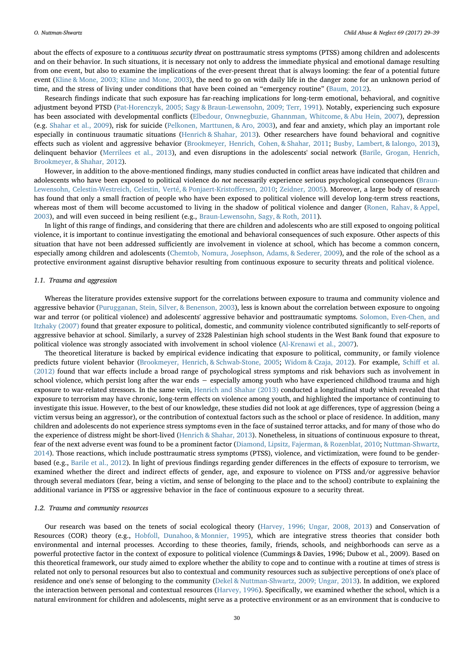about the effects of exposure to a continuous security threat on posttraumatic stress symptoms (PTSS) among children and adolescents and on their behavior. In such situations, it is necessary not only to address the immediate physical and emotional damage resulting from one event, but also to examine the implications of the ever-present threat that is always looming: the fear of a potential future event (Kline & Mone, 2003; Kline and Mone, 2003), the need to go on with daily life in the danger zone for an unknown period of time, and the stress of living under conditions that have been coined an "emergency routine" (Baum, 2012).

Research findings indicate that such exposure has far-reaching implications for long-term emotional, behavioral, and cognitive adjustment beyond PTSD (Pat-Horenczyk, 2005; Sagy & Braun-Lewensohn, 2009; Terr, 1991). Notably, experiencing such exposure has been associated with developmental conflicts (Elbedour, Onwnegbuzie, Ghannman, Whitcome, & Abu Hein, 2007), depression (e.g. Shahar et al., 2009), risk for suicide (Pelkonen, Marttunen, & Aro, 2003), and fear and anxiety, which play an important role especially in continuous traumatic situations (Henrich & Shahar, 2013). Other researchers have found behavioral and cognitive effects such as violent and aggressive behavior (Brookmeyer, Henrich, Cohen, & Shahar, 2011; Busby, Lambert, & Ialongo, 2013), delinquent behavior (Merrilees et al., 2013), and even disruptions in the adolescents' social network (Barile, Grogan, Henrich, Brookmeyer, & Shahar, 2012).

However, in addition to the above-mentioned findings, many studies conducted in conflict areas have indicated that children and adolescents who have been exposed to political violence do not necessarily experience serious psychological consequences (Braun-Lewensohn, Celestin-Westreich, Celestin, Verté, & Ponjaert-Kristoffersen, 2010; Zeidner, 2005). Moreover, a large body of research has found that only a small fraction of people who have been exposed to political violence will develop long-term stress reactions, whereas most of them will become accustomed to living in the shadow of political violence and danger (Ronen, Rahav, & Appel, 2003), and will even succeed in being resilient (e.g., Braun-Lewensohn, Sagy, & Roth, 2011).

In light of this range of findings, and considering that there are children and adolescents who are still exposed to ongoing political violence, it is important to continue investigating the emotional and behavioral consequences of such exposure. Other aspects of this situation that have not been addressed sufficiently are involvement in violence at school, which has become a common concern, especially among children and adolescents (Chemtob, Nomura, Josephson, Adams, & Sederer, 2009), and the role of the school as a protective environment against disruptive behavior resulting from continuous exposure to security threats and political violence.

#### 1.1. Trauma and aggression

Whereas the literature provides extensive support for the correlations between exposure to trauma and community violence and aggressive behavior (Purugganan, Stein, Silver, & Benenson, 2003), less is known about the correlation between exposure to ongoing war and terror (or political violence) and adolescents' aggressive behavior and posttraumatic symptoms. Solomon, Even-Chen, and Itzhaky (2007) found that greater exposure to political, domestic, and community violence contributed significantly to self-reports of aggressive behavior at school. Similarly, a survey of 2328 Palestinian high school students in the West Bank found that exposure to political violence was strongly associated with involvement in school violence (Al-Krenawi et al., 2007).

The theoretical literature is backed by empirical evidence indicating that exposure to political, community, or family violence predicts future violent behavior (Brookmeyer, Henrich, & Schwab-Stone, 2005; Widom & Czaja, 2012). For example, Schiff et al. (2012) found that war effects include a broad range of psychological stress symptoms and risk behaviors such as involvement in school violence, which persist long after the war ends – especially among youth who have experienced childhood trauma and high exposure to war-related stressors. In the same vein, Henrich and Shahar (2013) conducted a longitudinal study which revealed that exposure to terrorism may have chronic, long-term effects on violence among youth, and highlighted the importance of continuing to investigate this issue. However, to the best of our knowledge, these studies did not look at age differences, type of aggression (being a victim versus being an aggressor), or the contribution of contextual factors such as the school or place of residence. In addition, many children and adolescents do not experience stress symptoms even in the face of sustained terror attacks, and for many of those who do the experience of distress might be short-lived (Henrich & Shahar, 2013). Nonetheless, in situations of continuous exposure to threat, fear of the next adverse event was found to be a prominent factor (Diamond, Lipsitz, Fajerman, & Rozenblat, 2010; Nuttman-Shwartz, 2014). Those reactions, which include posttraumatic stress symptoms (PTSS), violence, and victimization, were found to be genderbased (e.g., Barile et al., 2012). In light of previous findings regarding gender differences in the effects of exposure to terrorism, we examined whether the direct and indirect effects of gender, age, and exposure to violence on PTSS and/or aggressive behavior through several mediators (fear, being a victim, and sense of belonging to the place and to the school) contribute to explaining the additional variance in PTSS or aggressive behavior in the face of continuous exposure to a security threat.

#### 1.2. Trauma and community resources

Our research was based on the tenets of social ecological theory (Harvey, 1996; Ungar, 2008, 2013) and Conservation of Resources (COR) theory (e.g., Hobfoll, Dunahoo, & Monnier, 1995), which are integrative stress theories that consider both environmental and internal processes. According to these theories, family, friends, schools, and neighborhoods can serve as a powerful protective factor in the context of exposure to political violence (Cummings & Davies, 1996; Dubow et al., 2009). Based on this theoretical framework, our study aimed to explore whether the ability to cope and to continue with a routine at times of stress is related not only to personal resources but also to contextual and community resources such as subjective perceptions of one's place of residence and one's sense of belonging to the community (Dekel & Nuttman-Shwartz, 2009; Ungar, 2013). In addition, we explored the interaction between personal and contextual resources (Harvey, 1996). Specifically, we examined whether the school, which is a natural environment for children and adolescents, might serve as a protective environment or as an environment that is conducive to